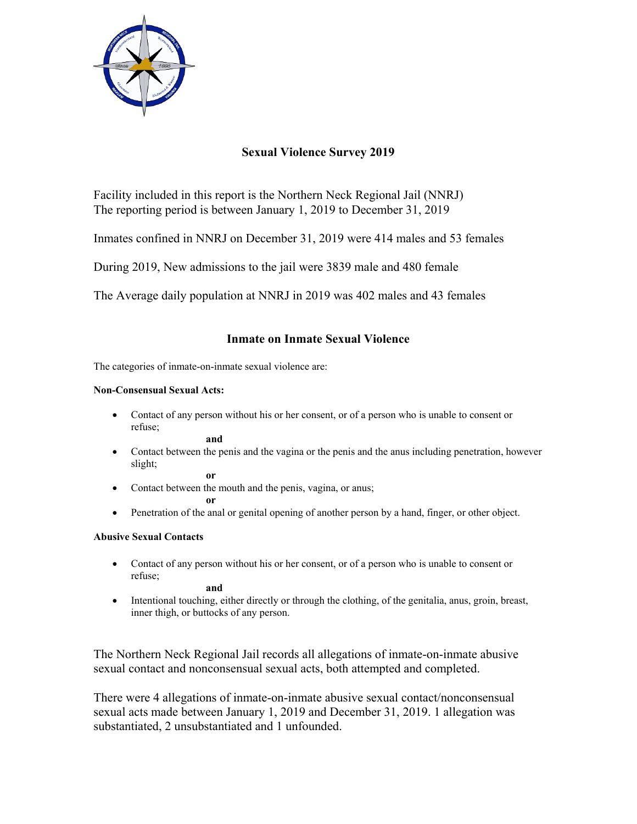

# **Sexual Violence Survey 2019**

Facility included in this report is the Northern Neck Regional Jail (NNRJ) The reporting period is between January 1, 2019 to December 31, 2019

Inmates confined in NNRJ on December 31, 2019 were 414 males and 53 females

During 2019, New admissions to the jail were 3839 male and 480 female

The Average daily population at NNRJ in 2019 was 402 males and 43 females

## **Inmate on Inmate Sexual Violence**

The categories of inmate-on-inmate sexual violence are:

#### **Non-Consensual Sexual Acts:**

 Contact of any person without his or her consent, or of a person who is unable to consent or refuse;

**and**

 Contact between the penis and the vagina or the penis and the anus including penetration, however slight;

**or** 

• Contact between the mouth and the penis, vagina, or anus;

**or** 

• Penetration of the anal or genital opening of another person by a hand, finger, or other object.

### **Abusive Sexual Contacts**

 Contact of any person without his or her consent, or of a person who is unable to consent or refuse;

**and** 

 Intentional touching, either directly or through the clothing, of the genitalia, anus, groin, breast, inner thigh, or buttocks of any person.

The Northern Neck Regional Jail records all allegations of inmate-on-inmate abusive sexual contact and nonconsensual sexual acts, both attempted and completed.

There were 4 allegations of inmate-on-inmate abusive sexual contact/nonconsensual sexual acts made between January 1, 2019 and December 31, 2019. 1 allegation was substantiated, 2 unsubstantiated and 1 unfounded.